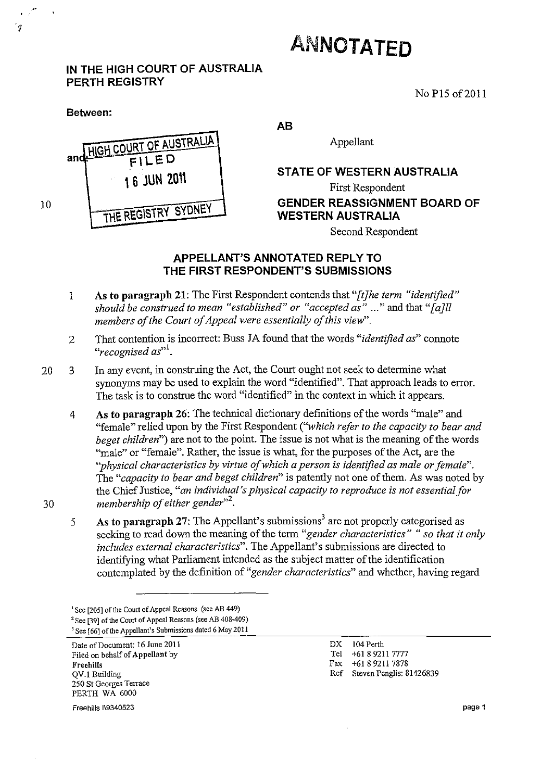## **ANNOTATED**

## **IN THE HIGH COURT OF AUSTRALIA PERTH REGISTRY**

No P<sub>15</sub> of 2011

**an HIGH COURT OF AUSTRALIA ..,: FI LED**  \ **6 JUN 20\\**  ··WE. **REGISTR't' SYDNEY AB**  Appellant **STATE OF WESTERN AUSTRALIA**  First Respondent **GENDER REASSIGNMENT BOARD OF WESTERN AUSTRALIA** 

Second Respondent

## **APPELLANT'S ANNOTATED REPLY TO THE FIRST RESPONDENT'S SUBMISSIONS**

- 1 As **to paragraph** 21: The First Respondent contends that *"[tJhe term "identified" should be construed to mean "established" or "accepted as"* ... " and that *"[aJll members of the Court of Appeal were essentially of this view".*
- 2 That contention is incorrect: Buss JA found that the words *"identified as"* connote "recognised as"<sup>1</sup>.
- 20 3 In any event, in construing the Act, the Court ought not seek to determine what synonyms may be used to explain the word "identified". That approach leads to error. The task is to construe the word "identified" in the context in which it appears.
	- 4 As **to paragraph** 26: The technical dictionary definitions of the words "male" and "female" relied upon by the First Respondent *(''which refer to the capacity to bear and beget children*") are not to the point. The issue is not what is the meaning of the words "male" or "female". Rather, the issue is what, for the purposes of the Act, are the *"physical characteristics by virtue of which a person* is *identified as male or female".*  The *"capacity to bear and beget children"* is patently not one of them. As was noted by the Chief Justice, *"an individual's physical capacity to reproduce* is *not essential for membership of either gender*<sup>32</sup>.
	- 5 As to paragraph 27: The Appellant's submissions<sup>3</sup> are not properly categorised as seeking to read down the meaning of the term *"gender characteristics"* " *so that it only includes external characteristics".* The Appellant's submissions are directed to identifying what Parliament intended as the subject matter of the identification contemplated by the definition of *"gender characteristics"* and whether, having regard
	- **<sup>I</sup>See [205]** of the **Court of Appeal Reasons (see AB 449)**  <sup>2</sup>**See [391** of the **Court of Appeal Reasons (see AB 408-409)**  <sup>3</sup>**See [66]** of the **Appellant's Submissions dated 6 May 2011**

**Date** of Document: **16 June 2011**  Filed on behalf of Appellant by **Freehills**  QV.I Building **250 St Georges Terrace**  PERTH WA 6000

DX 104 Perth Tel +61 89211 7777 Fax +61 89211 7878 Ref Steven Penglis: 81426839

Freehilis 119340523

30

10

้ง

**Between:**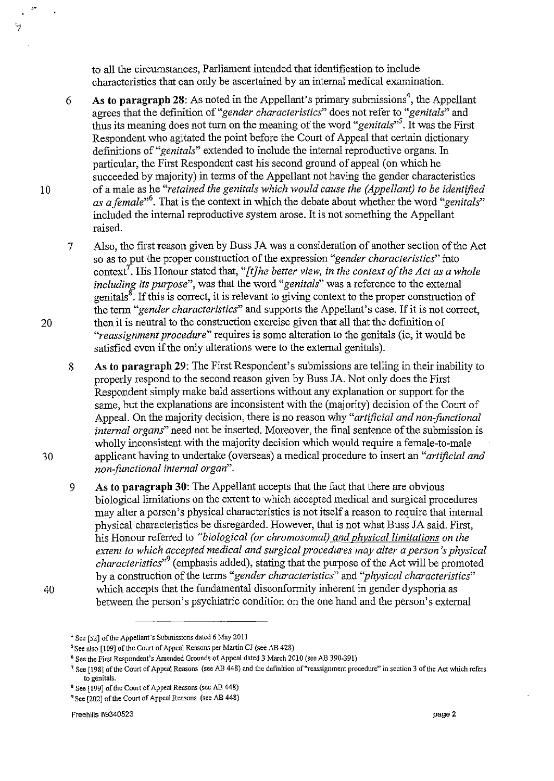to all the circumstances, Parliament intended that identification to include characteristics that can only be ascertained by an internal medical examination.

6 As to paragraph 28: As noted in the Appellant's primary submissions<sup>4</sup>, the Appellant agrees that the definition of *"gender characteristics"* does not refer to *"genitals"* and thus its meaning does not turn on the meaning of the word *"genitals"s.* It was the First Respondent who agitated the point before the Court of Appeal that certain dictionary definitions of *"genitals"* extended to include the internal reproductive organs. In particular, the First Respondent cast his second ground of appeal (on which he succeeded by majority) in terms of the Appellant not having the gender characteristics of a male as he *"retained the genitals which would cause the (Appellant) to be identified as a female,,6.* That is the context in which the debate about whether the word *"genitals"*  included the internal reproductive system arose. It is not something the Appellant raised.

7 Also, the first reason given by Buss JA was a consideration of another section of the Act so as to lut the proper construction of the expression *"gender characteristics"* into context<sup>7</sup>. His Honour stated that, "[t]he better view, in the context of the Act as a whole *including its purpose",* was that the word *"genitals"* was a reference to the external genitals<sup>8</sup>. If this is correct, it is relevant to giving context to the proper construction of the term *"gender characteristics"* and supports the Appellant's case. If it is not correct, then it is neutral to the construction exercise given that all that the definition of *"reassignment procedure"* requires is some alteration to the genitals (ie, it would be satisfied even if the only alterations were to the external genitals).

8 As to paragraph 29: The First Respondent's submissions are telling in their inability to properly respond to the second reason given by Buss JA. Not only does the First Respondent simply make bald assertions without any explanation or support for the same, but the explanations are inconsistent with the (majority) decision of the Court of Appeal. On the majority decision, there is no reason why *"artificial and non-functional internal organs"* need not be inserted. Moreover, the final sentence of the submission is wholly inconsistent with the majority decision which would require a female-to-male applicant having to undertake ( overseas) a medical procedure to insert an *"artificial and non-functional internal organ".* 

9 As to paragraph 30: The Appellant accepts that the fact that there are obvious biological limitations on the extent to which accepted medical and surgical procedures may alter a person's physical characteristics is not itself a reason to require that internal physical characteristics be disregarded. However, that is not what Buss JA said. First, his Honour referred to *"biological (or chromosomal) and physical limitations on the extent to which accepted medical and surgical procedures may alter a person's physical characteristics*<sup>39</sup> (emphasis added), stating that the purpose of the Act will be promoted by a construction of the terms *"gender characteristics"* and *''physical characteristics"*  which accepts that the fundamental disconformity inherent in gender dysphoria as between the person's psychiatric condition on the one hand and the person's external

 $^t$ 

10

20

30

40

<sup>&</sup>lt;sup>+</sup> See [52] of the Appellant's Submissions dated 6 May 2011

<sup>5</sup> See also [109] of the Court of Appeal Reasons per Martin *Cl* (see AB 428)

<sup>6</sup> See the First Respondent's Amended Grounds of Appeal dated 3 March 2010 (see AB 390-391)

<sup>&</sup>lt;sup>7</sup> See [198] of the Court of Appeal Reasons (see AB 448) and the definition of "reassignment procedure" in section 3 of the Act which refers to genitals.

s See [199] of the Court of Appeal Reasons (see AB 448)

<sup>9</sup> See [202] of the Court of Appeal Reasons (see AB 448)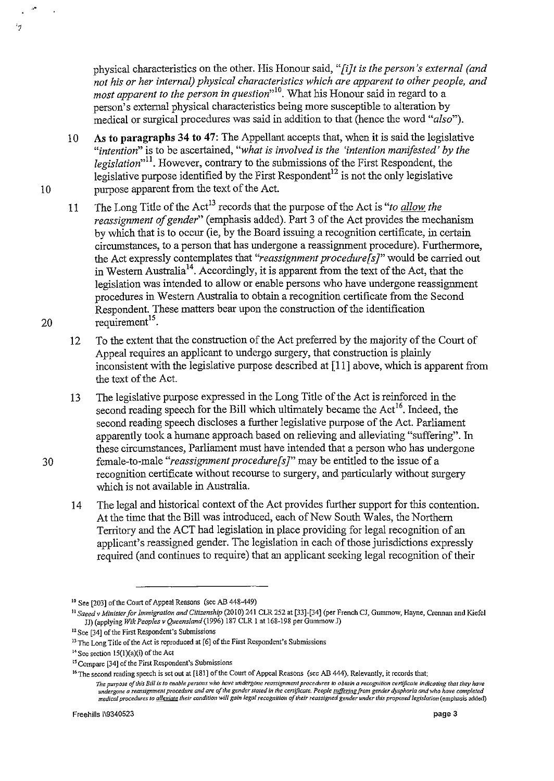physical characteristics on the other. His Honour said, *"[i}t is the person's external (and not his or her internal) physical characteristics which are apparent to other people, and most apparent to the person in question*<sup>10</sup>. What his Honour said in regard to a person's external physical characteristics being more susceptible to alteration by medical or surgical procedures was said in addition to that (hence the word *"also").* 

- 10 As to paragraphs 34 to 47: The Appellant accepts that, when it is said the legislative *"intention"* is to be ascertained, *"what is involved is the 'intention manifested' by the legislation"ll.* However, contrary to the submissions of the First Respondent, the legislative purpose identified by the First Respondent<sup>12</sup> is not the only legislative 10 purpose apparent from the text of the Act.
- 11 The Long Title of the Act<sup>13</sup> records that the purpose of the Act is *"to allow the reassignment of gender*" (emphasis added). Part 3 of the Act provides the mechanism by which that is to occur (ie, by the Board issuing a recognition certificate, in certain circumstances, to a person that has undergone a reassignment procedure). Furthermore, the Act expressly contemplates that *"reassignment procedure[s]"* would be carried out in Western Australia<sup>14</sup>. Accordingly, it is apparent from the text of the Act, that the legislation was intended to allow or enable persons who have undergone reassignment procedures in Western Australia to obtain a recognition certificate from the Second Respondent. These matters bear upon the construction of the identification 20 requirement<sup>15</sup>.
	- 12 To the extent that the construction of the Act preferred by the majority of the Court of Appeal requires an applicant to undergo surgery, that construction is plainly inconsistent with the legislative purpose described at [11] above, which is apparent from the text of the Act.
- 13 The legislative purpose expressed in the Long Title of the Act is reinforced in the second reading speech for the Bill which ultimately became the  $Act^{16}$ . Indeed, the second reading speech discloses a further legislative purpose of the Act. Parliament apparently took a humane approach based on relieving and alleviating "suffering". In these circumstances, Parliament must have intended that a person who has undergone 30 female-to-male *"reassignment procedure[s]"* may be entitled to the issue of a recognition certificate without recourse to surgery, and particularly without surgery which is not available in Australia.
	- 14 The legal and historical context of the Act provides further support for this contention. At the time that the Bill was introduced, each of New South Wales, the Northern Territory and the ACT had legislation in place providing for legal recognition of an applicant's reassigned gender. The legislation in each of those jurisdictions expressly required (and continues to require) that an applicant seeking legal recognition of their

'1

<sup>10</sup> See [203] of the Court of Appeal Reasons (see AB 448-449)

<sup>11</sup>*Saeed* v *Minister for Immigration and Citizenship* (2010) 241 CLR 252 at [33]-[34] (per French *Cl,* Gummow, Hayne, Crennan and Kiefel JJ) (applying *Wik Peoples v Queensland* (1996) 187 CLR 1 at 168-198 per Gummow J)

<sup>&</sup>lt;sup>12</sup> See [34] of the First Respondent's Submissions

<sup>&</sup>lt;sup>13</sup> The Long Title of the Act is reproduced at [6] of the First Respondent's Submissions

 $14$  See section 15(1)(a)(i) of the Act

<sup>&</sup>lt;sup>15</sup> Compare [34] of the First Respondent's Submissions

<sup>&</sup>lt;sup>16</sup> The second reading speech is set out at [181] of the Court of Appeal Reasons (see AB 444). Relevantly, it records that:

The purpose of this Bill is to enable persons who have undergone reassignment procedures to obtain a recognition certificate indicating that they have<br>undergone a reassignment procedure and are of the gender stated in the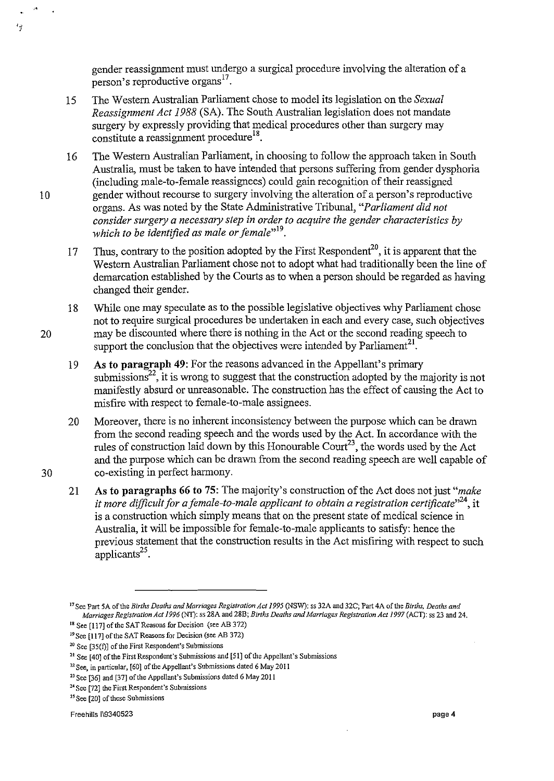gender reassignment must undergo a surgical procedure involving the alteration of a person's reproductive organs  $17$ .

- 15 The Western Australian Parliament chose to model its legislation on the *Sexual Reassignment Act* 1988 (SA). The South Australian legislation does not mandate surgery by expressly providing that medical procedures other than surgery may constitute a reassignment procedure  $18$ .
- 16 The Western Australian Parliament, in choosing to follow the approach taken in South Australia, must be taken to have intended that persons suffering from gender dysphoria (including male-to-female reassignees) could gain recognition of their reassigned 10 gender without recourse to surgery involving the alteration of a person's reproductive organs. As was noted by the State Administrative Tribunal, *"Parliament did not consider surgery a necessary step in order to acquire the gender characteristics by*  which to be identified as male or female"<sup>19</sup>.
	- 17 Thus, contrary to the position adopted by the First Respondent<sup>20</sup>, it is apparent that the Western Australian Parliament chose not to adopt what had traditionally been the line of demarcation established by the Courts as to when a person should be regarded as having changed their gender.
- 18 While one may speculate as to the possible legislative objectives why Parliament chose not to require surgical procedures be undertaken in each and every case, such objectives 20 may be discounted where there is nothing in the Act or the second reading speech to support the conclusion that the objectives were intended by Parliament<sup>21</sup>.
	- 19 As to paragraph 49: For the reasons advanced in the Appellant's primary submissions<sup>22</sup>, it is wrong to suggest that the construction adopted by the majority is not manifestly absurd or unreasonable. The construction has the effect of causing the Act to misfire with respect to female-to-male assignees.
- 20 Moreover, there is no inherent inconsistency between the purpose which can be drawn from the second reading speech and the words used by the Act. In accordance with the rules of construction laid down by this Honourable Court<sup>23</sup>, the words used by the Act and the purpose which can be drawn from the second reading speech are well capable of 30 co-existing in perfect harmony.
	- 21 As to paragraphs 66 to 75: The majority's construction of the Act does not just *"make it more difficult for a female-to-male applicant to obtain a registration certificate*<sup>324</sup>, it is a construction which simply means that on the present state of medical science in Australia, it will be impossible for female-to-male applicants to satisfy: hence the previous statement that the construction results in the Act misfiring with respect to such applicants $^{25}$ .

'1

<sup>17</sup> See Part SA of the *Births Deaths and Marriages Registration Act* 1995 (NSW): ss 32A and 32C; Part 4A of the *Births, Deaths and Marriages Registration Act* 1996 (NT): ss 28A and 28B; *Births Deaths and Marriages Registration Act* 1997 (ACT): ss 23 and 24.

<sup>&</sup>lt;sup>18</sup> See [117] of the SAT Reasons for Decision (see AB 372)

<sup>&</sup>lt;sup>19</sup> See [117] of the SAT Reasons for Decision (see AB 372)

<sup>&</sup>lt;sup>20</sup> See [35(f)] of the First Respondent's Submissions

<sup>21</sup> See [40] of the First Respondent's Submissions and [51] of the Appellant's Submissions

 $22$  See, in particular, [60] of the Appellant's Submissions dated 6 May 2011

<sup>&</sup>lt;sup>23</sup> See [36] and [37] of the Appellant's Submissions dated 6 May 2011

<sup>24</sup> See [72] the First Respondent's Submissions

<sup>&</sup>lt;sup>25</sup> See [20] of these Submissions